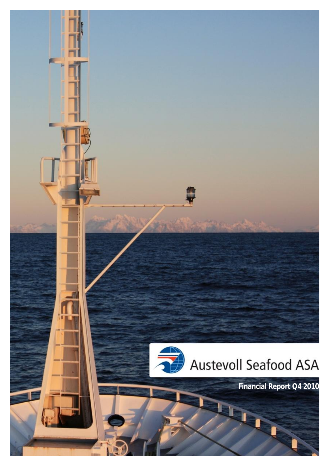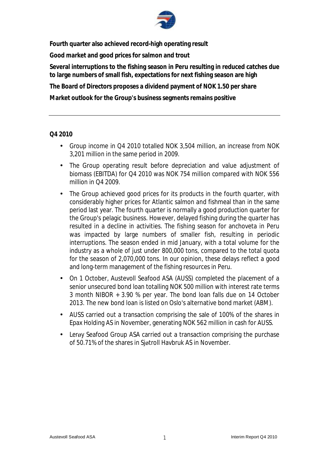

**Fourth quarter also achieved record-high operating result** 

**Good market and good prices for salmon and trout** 

**Several interruptions to the fishing season in Peru resulting in reduced catches due to large numbers of small fish, expectations for next fishing season are high** 

**The Board of Directors proposes a dividend payment of NOK 1.50 per share** 

**Market outlook for the Group's business segments remains positive** 

#### **Q4 2010**

- Group income in Q4 2010 totalled NOK 3,504 million, an increase from NOK 3,201 million in the same period in 2009.
- The Group operating result before depreciation and value adjustment of biomass (EBITDA) for Q4 2010 was NOK 754 million compared with NOK 556 million in Q4 2009.
- The Group achieved good prices for its products in the fourth quarter, with considerably higher prices for Atlantic salmon and fishmeal than in the same period last year. The fourth quarter is normally a good production quarter for the Group's pelagic business. However, delayed fishing during the quarter has resulted in a decline in activities. The fishing season for anchoveta in Peru was impacted by large numbers of smaller fish, resulting in periodic interruptions. The season ended in mid January, with a total volume for the industry as a whole of just under 800,000 tons, compared to the total quota for the season of 2,070,000 tons. In our opinion, these delays reflect a good and long-term management of the fishing resources in Peru.
- On 1 October, Austevoll Seafood ASA (AUSS) completed the placement of a senior unsecured bond loan totalling NOK 500 million with interest rate terms 3 month NIBOR + 3.90 % per year. The bond loan falls due on 14 October 2013. The new bond loan is listed on Oslo's alternative bond market (ABM).
- AUSS carried out a transaction comprising the sale of 100% of the shares in Epax Holding AS in November, generating NOK 562 million in cash for AUSS.
- Lerøy Seafood Group ASA carried out a transaction comprising the purchase of 50.71% of the shares in Sjøtroll Havbruk AS in November.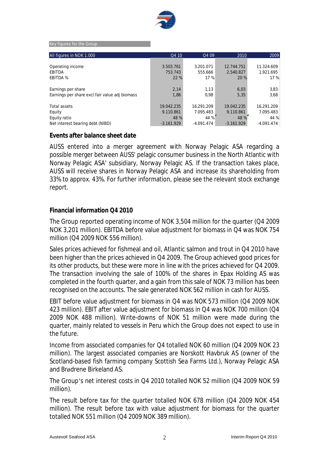

Key figures for the Group

| All figures in NOK 1.000                       | Q410         | Q4 09        | 2010         | 2009       |
|------------------------------------------------|--------------|--------------|--------------|------------|
|                                                |              |              |              |            |
| Operating income                               | 3.503.761    | 3.201.071    | 12.744.751   | 11.324.609 |
| EBITDA                                         | 753.743      | 555.666      | 2.540.827    | 1.921.695  |
| <b>EBITDA %</b>                                | 22 %         | 17 %         | 20 %         | 17 %       |
|                                                |              |              |              |            |
| Earnings per share                             | 2,14         | 1,13         | 6,03         | 3,83       |
| Earnings per share excl.fair value adj biomass | 1,86         | 0,98         | 5,35         | 3,68       |
|                                                |              |              |              |            |
| <b>Total assets</b>                            | 19.042.235   | 16.291.209   | 19.042.235   | 16.291.209 |
| Equity                                         | 9.110.861    | 7.095.483    | 9.110.861    | 7.095.483  |
| Equity ratio                                   | 48 %         | 44 %         | 48 %         | 44 %       |
| Net interest bearing debt (NIBD)               | $-3.161.929$ | $-4.091.474$ | $-3.161.929$ | -4.091.474 |

#### **Events after balance sheet date**

AUSS entered into a merger agreement with Norway Pelagic ASA regarding a possible merger between AUSS' pelagic consumer business in the North Atlantic with Norway Pelagic ASA' subsidiary, Norway Pelagic AS. If the transaction takes place, AUSS will receive shares in Norway Pelagic ASA and increase its shareholding from 33% to approx. 43%. For further information, please see the relevant stock exchange report.

#### **Financial information Q4 2010**

The Group reported operating income of NOK 3,504 million for the quarter (Q4 2009 NOK 3,201 million). EBITDA before value adjustment for biomass in Q4 was NOK 754 million (Q4 2009 NOK 556 million).

Sales prices achieved for fishmeal and oil, Atlantic salmon and trout in Q4 2010 have been higher than the prices achieved in Q4 2009. The Group achieved good prices for its other products, but these were more in line with the prices achieved for Q4 2009. The transaction involving the sale of 100% of the shares in Epax Holding AS was completed in the fourth quarter, and a gain from this sale of NOK 73 million has been recognised on the accounts. The sale generated NOK 562 million in cash for AUSS.

EBIT before value adjustment for biomass in Q4 was NOK 573 million (Q4 2009 NOK 423 million). EBIT after value adjustment for biomass in Q4 was NOK 700 million (Q4 2009 NOK 488 million). Write-downs of NOK 51 million were made during the quarter, mainly related to vessels in Peru which the Group does not expect to use in the future.

Income from associated companies for Q4 totalled NOK 60 million (Q4 2009 NOK 23 million). The largest associated companies are Norskott Havbruk AS (owner of the Scotland-based fish farming company Scottish Sea Farms Ltd.), Norway Pelagic ASA and Brødrene Birkeland AS.

The Group's net interest costs in Q4 2010 totalled NOK 52 million (Q4 2009 NOK 59 million).

The result before tax for the quarter totalled NOK 678 million (Q4 2009 NOK 454 million). The result before tax with value adjustment for biomass for the quarter totalled NOK 551 million (Q4 2009 NOK 389 million).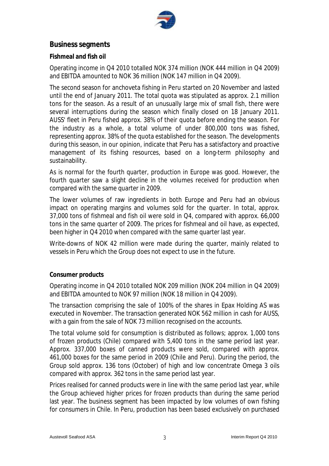

# **Business segments**

### **Fishmeal and fish oil**

Operating income in Q4 2010 totalled NOK 374 million (NOK 444 million in Q4 2009) and EBITDA amounted to NOK 36 million (NOK 147 million in Q4 2009).

The second season for anchoveta fishing in Peru started on 20 November and lasted until the end of January 2011. The total quota was stipulated as approx. 2.1 million tons for the season. As a result of an unusually large mix of small fish, there were several interruptions during the season which finally closed on 18 January 2011. AUSS' fleet in Peru fished approx. 38% of their quota before ending the season. For the industry as a whole, a total volume of under 800,000 tons was fished, representing approx. 38% of the quota established for the season. The developments during this season, in our opinion, indicate that Peru has a satisfactory and proactive management of its fishing resources, based on a long-term philosophy and sustainability.

As is normal for the fourth quarter, production in Europe was good. However, the fourth quarter saw a slight decline in the volumes received for production when compared with the same quarter in 2009.

The lower volumes of raw ingredients in both Europe and Peru had an obvious impact on operating margins and volumes sold for the quarter. In total, approx. 37,000 tons of fishmeal and fish oil were sold in Q4, compared with approx. 66,000 tons in the same quarter of 2009. The prices for fishmeal and oil have, as expected, been higher in Q4 2010 when compared with the same quarter last year.

Write-downs of NOK 42 million were made during the quarter, mainly related to vessels in Peru which the Group does not expect to use in the future.

### **Consumer products**

Operating income in Q4 2010 totalled NOK 209 million (NOK 204 million in Q4 2009) and EBITDA amounted to NOK 97 million (NOK 18 million in Q4 2009).

The transaction comprising the sale of 100% of the shares in Epax Holding AS was executed in November. The transaction generated NOK 562 million in cash for AUSS, with a gain from the sale of NOK 73 million recognised on the accounts.

The total volume sold for consumption is distributed as follows; approx. 1,000 tons of frozen products (Chile) compared with 5,400 tons in the same period last year. Approx. 337,000 boxes of canned products were sold, compared with approx. 461,000 boxes for the same period in 2009 (Chile and Peru). During the period, the Group sold approx. 136 tons (October) of high and low concentrate Omega 3 oils compared with approx. 362 tons in the same period last year.

Prices realised for canned products were in line with the same period last year, while the Group achieved higher prices for frozen products than during the same period last year. The business segment has been impacted by low volumes of own fishing for consumers in Chile. In Peru, production has been based exclusively on purchased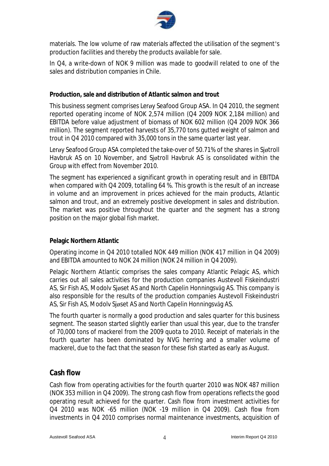

materials. The low volume of raw materials affected the utilisation of the segment's production facilities and thereby the products available for sale.

In Q4, a write-down of NOK 9 million was made to goodwill related to one of the sales and distribution companies in Chile.

### **Production, sale and distribution of Atlantic salmon and trout**

This business segment comprises Lerøy Seafood Group ASA. In Q4 2010, the segment reported operating income of NOK 2,574 million (Q4 2009 NOK 2,184 million) and EBITDA before value adjustment of biomass of NOK 602 million (Q4 2009 NOK 366 million). The segment reported harvests of 35,770 tons gutted weight of salmon and trout in Q4 2010 compared with 35,000 tons in the same quarter last year.

Lerøy Seafood Group ASA completed the take-over of 50.71% of the shares in Sjøtroll Havbruk AS on 10 November, and Sjøtroll Havbruk AS is consolidated within the Group with effect from November 2010.

The segment has experienced a significant growth in operating result and in EBITDA when compared with Q4 2009, totalling 64 %. This growth is the result of an increase in volume and an improvement in prices achieved for the main products, Atlantic salmon and trout, and an extremely positive development in sales and distribution. The market was positive throughout the quarter and the segment has a strong position on the major global fish market.

### **Pelagic Northern Atlantic**

Operating income in Q4 2010 totalled NOK 449 million (NOK 417 million in Q4 2009) and EBITDA amounted to NOK 24 million (NOK 24 million in Q4 2009).

Pelagic Northern Atlantic comprises the sales company Atlantic Pelagic AS, which carries out all sales activities for the production companies Austevoll Fiskeindustri AS, Sir Fish AS, Modolv Sjøset AS and North Capelin Honningsvåg AS. This company is also responsible for the results of the production companies Austevoll Fiskeindustri AS, Sir Fish AS, Modolv Sjøset AS and North Capelin Honningsvåg AS.

The fourth quarter is normally a good production and sales quarter for this business segment. The season started slightly earlier than usual this year, due to the transfer of 70,000 tons of mackerel from the 2009 quota to 2010. Receipt of materials in the fourth quarter has been dominated by NVG herring and a smaller volume of mackerel, due to the fact that the season for these fish started as early as August.

# **Cash flow**

Cash flow from operating activities for the fourth quarter 2010 was NOK 487 million (NOK 353 million in Q4 2009). The strong cash flow from operations reflects the good operating result achieved for the quarter. Cash flow from investment activities for Q4 2010 was NOK -65 million (NOK -19 million in Q4 2009). Cash flow from investments in Q4 2010 comprises normal maintenance investments, acquisition of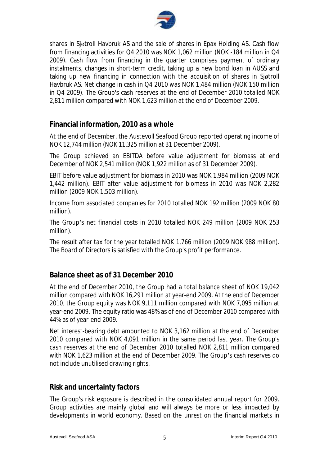

shares in Sjøtroll Havbruk AS and the sale of shares in Epax Holding AS. Cash flow from financing activities for Q4 2010 was NOK 1,062 million (NOK -184 million in Q4 2009). Cash flow from financing in the quarter comprises payment of ordinary instalments, changes in short-term credit, taking up a new bond loan in AUSS and taking up new financing in connection with the acquisition of shares in Sjøtroll Havbruk AS. Net change in cash in Q4 2010 was NOK 1,484 million (NOK 150 million in Q4 2009). The Group's cash reserves at the end of December 2010 totalled NOK 2,811 million compared with NOK 1,623 million at the end of December 2009.

# **Financial information, 2010 as a whole**

At the end of December, the Austevoll Seafood Group reported operating income of NOK 12,744 million (NOK 11,325 million at 31 December 2009).

The Group achieved an EBITDA before value adjustment for biomass at end December of NOK 2,541 million (NOK 1,922 million as of 31 December 2009).

EBIT before value adjustment for biomass in 2010 was NOK 1,984 million (2009 NOK 1,442 million). EBIT after value adjustment for biomass in 2010 was NOK 2,282 million (2009 NOK 1,503 million).

Income from associated companies for 2010 totalled NOK 192 million (2009 NOK 80 million).

The Group's net financial costs in 2010 totalled NOK 249 million (2009 NOK 253 million).

The result after tax for the year totalled NOK 1,766 million (2009 NOK 988 million). The Board of Directors is satisfied with the Group's profit performance.

# **Balance sheet as of 31 December 2010**

At the end of December 2010, the Group had a total balance sheet of NOK 19,042 million compared with NOK 16,291 million at year-end 2009. At the end of December 2010, the Group equity was NOK 9,111 million compared with NOK 7,095 million at year-end 2009. The equity ratio was 48% as of end of December 2010 compared with 44% as of year-end 2009.

Net interest-bearing debt amounted to NOK 3,162 million at the end of December 2010 compared with NOK 4,091 million in the same period last year. The Group's cash reserves at the end of December 2010 totalled NOK 2,811 million compared with NOK 1,623 million at the end of December 2009. The Group's cash reserves do not include unutilised drawing rights.

### **Risk and uncertainty factors**

The Group's risk exposure is described in the consolidated annual report for 2009. Group activities are mainly global and will always be more or less impacted by developments in world economy. Based on the unrest on the financial markets in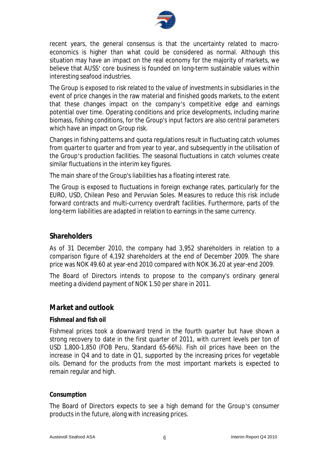

recent years, the general consensus is that the uncertainty related to macroeconomics is higher than what could be considered as normal. Although this situation may have an impact on the real economy for the majority of markets, we believe that AUSS' core business is founded on long-term sustainable values within interesting seafood industries.

The Group is exposed to risk related to the value of investments in subsidiaries in the event of price changes in the raw material and finished goods markets, to the extent that these changes impact on the company's competitive edge and earnings potential over time. Operating conditions and price developments, including marine biomass, fishing conditions, for the Group's input factors are also central parameters which have an impact on Group risk.

Changes in fishing patterns and quota regulations result in fluctuating catch volumes from quarter to quarter and from year to year, and subsequently in the utilisation of the Group's production facilities. The seasonal fluctuations in catch volumes create similar fluctuations in the interim key figures.

The main share of the Group's liabilities has a floating interest rate.

The Group is exposed to fluctuations in foreign exchange rates, particularly for the EURO, USD, Chilean Peso and Peruvian Soles. Measures to reduce this risk include forward contracts and multi-currency overdraft facilities. Furthermore, parts of the long-term liabilities are adapted in relation to earnings in the same currency.

# **Shareholders**

As of 31 December 2010, the company had 3,952 shareholders in relation to a comparison figure of 4,192 shareholders at the end of December 2009. The share price was NOK 49.60 at year-end 2010 compared with NOK 36.20 at year-end 2009.

The Board of Directors intends to propose to the company's ordinary general meeting a dividend payment of NOK 1.50 per share in 2011.

# **Market and outlook**

### **Fishmeal and fish oil**

Fishmeal prices took a downward trend in the fourth quarter but have shown a strong recovery to date in the first quarter of 2011, with current levels per ton of USD 1,800-1,850 (FOB Peru, Standard 65-66%). Fish oil prices have been on the increase in Q4 and to date in Q1, supported by the increasing prices for vegetable oils. Demand for the products from the most important markets is expected to remain regular and high.

#### **Consumption**

The Board of Directors expects to see a high demand for the Group's consumer products in the future, along with increasing prices.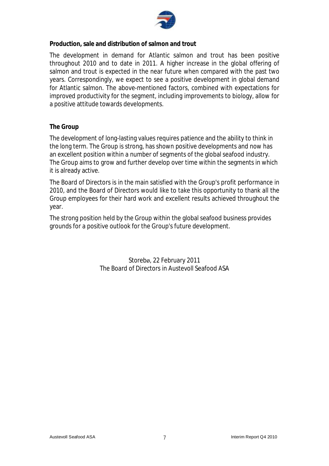

**Production, sale and distribution of salmon and trout** 

The development in demand for Atlantic salmon and trout has been positive throughout 2010 and to date in 2011. A higher increase in the global offering of salmon and trout is expected in the near future when compared with the past two years. Correspondingly, we expect to see a positive development in global demand for Atlantic salmon. The above-mentioned factors, combined with expectations for improved productivity for the segment, including improvements to biology, allow for a positive attitude towards developments.

### **The Group**

The development of long-lasting values requires patience and the ability to think in the long term. The Group is strong, has shown positive developments and now has an excellent position within a number of segments of the global seafood industry. The Group aims to grow and further develop over time within the segments in which it is already active.

The Board of Directors is in the main satisfied with the Group's profit performance in 2010, and the Board of Directors would like to take this opportunity to thank all the Group employees for their hard work and excellent results achieved throughout the year.

The strong position held by the Group within the global seafood business provides grounds for a positive outlook for the Group's future development.

> Storebø, 22 February 2011 The Board of Directors in Austevoll Seafood ASA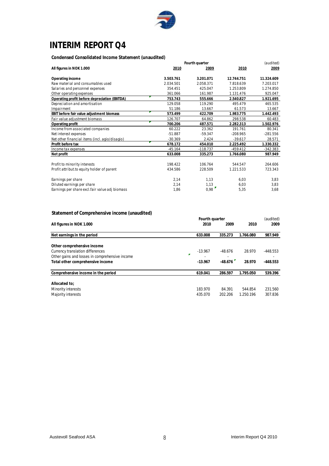

# **INTERIM REPORT Q4**

**Condensed Consolidated Income Statement (unaudited)**

| condensed consolidated income statement (diladuited) |                |            |            |            |
|------------------------------------------------------|----------------|------------|------------|------------|
|                                                      | Fourth quarter | (audited)  |            |            |
| All figures in NOK 1.000                             | 2010           | 2009       | 2010       | 2009       |
| Operating income                                     | 3.503.761      | 3.201.071  | 12.744.751 | 11.324.609 |
| Raw material and consumables used                    | 2.034.501      | 2.058.371  | 7.818.639  | 7.203.017  |
| Salaries and personnel expenses                      | 354.451        | 425.047    | 1.253.809  | 1.274.850  |
| Other operating expenses                             | 361.066        | 161.987    | 1.131.476  | 925.047    |
| Operating profit before depreciation (EBITDA)        | 753.743        | 555.666    | 2.540.827  | 1.921.695  |
| Depreciation and amortisation                        | 129.058        | 119.290    | 495.479    | 465.535    |
| Impairment                                           | 51.186         | 13.667     | 61.573     | 13.667     |
| EBIT before fair value adjustment biomass            | 573.499        | 422.709    | 1.983.775  | 1.442.493  |
| Fair value adjustment biomass                        | 126.707        | 64.862     | 298.538    | 60.483     |
| Operating profit                                     | 700.206        | 487.571    | 2.282.313  | 1.502.976  |
| Income from associated companies                     | 60.222         | 23.362     | 191.761    | 80.341     |
| Net interest expenses                                | $-51.887$      | $-59.347$  | $-208.965$ | $-281.556$ |
| Net other financial items (incl. agio/disagio)       | $-30.369$      | 2.424      | $-39.617$  | 28.571     |
| Profit before tax                                    | 678.172        | 454.010    | 2.225.492  | 1.330.332  |
| Income tax expenses                                  | $-45.164$      | $-118.737$ | $-459.412$ | $-342.383$ |
| Net profit                                           | 633.008        | 335.273    | 1.766.080  | 987.949    |
|                                                      |                |            |            |            |
| Profit to minority interests                         | 198.422        | 106.764    | 544.547    | 264.606    |
| Profit attribut to equity holder of parent           | 434.586        | 228.509    | 1.221.533  | 723.343    |
| Earnings per share                                   | 2,14           | 1,13       | 6,03       | 3,83       |
| Diluted earnings per share                           | 2,14           | 1,13       | 6,03       | 3,83       |
| Earnings per share excl.fair value adj biomass       | 1,86           | 0,98       | 5,35       | 3,68       |

#### **Statement of Comprehensive income (unaudited)**

| statement or comprenensive income (unaddited)  |   |           |           |           |            |
|------------------------------------------------|---|-----------|-----------|-----------|------------|
|                                                |   | (audited) |           |           |            |
| All figures in NOK 1.000                       |   | 2010      | 2009      | 2010      | 2009       |
| Net earnings in the period                     |   | 633.008   | 335.273   | 1.766.080 | 987.949    |
| Other comprehensive income                     |   |           |           |           |            |
| Currency translation differences               |   | $-13.967$ | $-48.676$ | 28.970    | $-448.553$ |
| Other gains and losses in comprehensive income | ÷ |           |           |           |            |
| Total other comprehensive income               |   | $-13.967$ | $-48.676$ | 28.970    | $-448.553$ |
| Comprehensive income in the period             |   | 619.041   | 286.597   | 1.795.050 | 539.396    |
| Allocated to:                                  |   |           |           |           |            |
| Minority interests                             |   | 183.970   | 84.391    | 544.854   | 231.560    |
| Majority interests                             |   | 435.070   | 202.206   | 1.250.196 | 307.836    |
|                                                |   |           |           |           |            |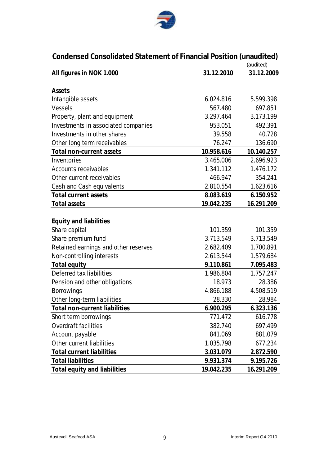

| Condensed Consolidated Statement of Financial Position (unaudited)<br>(audited) |            |            |  |  |  |  |
|---------------------------------------------------------------------------------|------------|------------|--|--|--|--|
| All figures in NOK 1.000                                                        | 31.12.2010 | 31.12.2009 |  |  |  |  |
| Assets                                                                          |            |            |  |  |  |  |
| Intangible assets                                                               | 6.024.816  | 5.599.398  |  |  |  |  |
| <b>Vessels</b>                                                                  | 567.480    | 697.851    |  |  |  |  |
| Property, plant and equipment                                                   | 3.297.464  | 3.173.199  |  |  |  |  |
| Investments in associated companies                                             | 953.051    | 492.391    |  |  |  |  |
| Investments in other shares                                                     | 39.558     | 40.728     |  |  |  |  |
| Other long term receivables                                                     | 76.247     | 136.690    |  |  |  |  |
| Total non-current assets                                                        | 10.958.616 | 10.140.257 |  |  |  |  |
| Inventories                                                                     | 3.465.006  | 2.696.923  |  |  |  |  |
| <b>Accounts receivables</b>                                                     | 1.341.112  | 1.476.172  |  |  |  |  |
| Other current receivables                                                       | 466.947    | 354.241    |  |  |  |  |
| <b>Cash and Cash equivalents</b>                                                | 2.810.554  | 1.623.616  |  |  |  |  |
| <b>Total current assets</b>                                                     | 8.083.619  | 6.150.952  |  |  |  |  |
| <b>Total assets</b>                                                             | 19.042.235 | 16.291.209 |  |  |  |  |
|                                                                                 |            |            |  |  |  |  |
| <b>Equity and liabilities</b>                                                   |            |            |  |  |  |  |
| Share capital                                                                   | 101.359    | 101.359    |  |  |  |  |
| Share premium fund                                                              | 3.713.549  | 3.713.549  |  |  |  |  |
| Retained earnings and other reserves                                            | 2.682.409  | 1.700.891  |  |  |  |  |
| Non-controlling interests                                                       | 2.613.544  | 1.579.684  |  |  |  |  |
| <b>Total equity</b>                                                             | 9.110.861  | 7.095.483  |  |  |  |  |
| <b>Deferred tax liabilities</b>                                                 | 1.986.804  | 1.757.247  |  |  |  |  |
| Pension and other obligations                                                   | 18.973     | 28.386     |  |  |  |  |
| <b>Borrowings</b>                                                               | 4.866.188  | 4.508.519  |  |  |  |  |
| Other long-term liabilities                                                     | 28.330     | 28.984     |  |  |  |  |
| <b>Total non-current liabilities</b>                                            | 6.900.295  | 6.323.136  |  |  |  |  |
| Short term borrowings                                                           | 771.472    | 616.778    |  |  |  |  |
| <b>Overdraft facilities</b>                                                     | 382.740    | 697.499    |  |  |  |  |
| Account payable                                                                 | 841.069    | 881.079    |  |  |  |  |
| Other current liabilities                                                       | 1.035.798  | 677.234    |  |  |  |  |
| <b>Total current liabilities</b>                                                | 3.031.079  | 2.872.590  |  |  |  |  |
| <b>Total liabilities</b>                                                        | 9.931.374  | 9.195.726  |  |  |  |  |
| <b>Total equity and liabilities</b>                                             | 19.042.235 | 16.291.209 |  |  |  |  |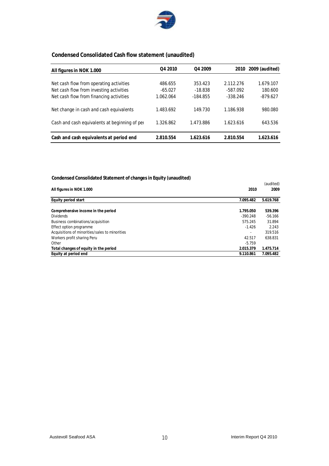

### **Condensed Consolidated Cash flow statement (unaudited)**

| All figures in NOK 1.000                      | Q4 2010   | Q4 2009    | 2010       | 2009 (audited) |
|-----------------------------------------------|-----------|------------|------------|----------------|
|                                               |           |            |            |                |
| Net cash flow from operating activities       | 486.655   | 353.423    | 2.112.276  | 1.679.107      |
| Net cash flow from investing activities       | $-65.027$ | $-18.838$  | -587.092   | 180.600        |
| Net cash flow from financing activities       | 1.062.064 | $-184.855$ | $-338.246$ | $-879.627$     |
| Net change in cash and cash equivalents       | 1.483.692 | 149.730    | 1.186.938  | 980.080        |
| Cash and cash equivalents at beginning of per | 1.326.862 | 1.473.886  | 1.623.616  | 643.536        |
| Cash and cash equivalents at period end       | 2.810.554 | 1.623.616  | 2.810.554  | 1.623.616      |

#### **Condensed Consolidated Statement of changes in Equity (unaudited)**

|                                                |            | (audited) |
|------------------------------------------------|------------|-----------|
| All figures in NOK 1.000                       | 2010       | 2009      |
| Equity period start                            | 7.095.482  | 5.619.768 |
| Comprehensive income in the period             | 1.795.050  | 539.396   |
| <b>Dividends</b>                               | $-390.248$ | $-56.166$ |
| Business combinations/acquisition              | 575.245    | 31.894    |
| Effect option programme                        | $-1.426$   | 2.243     |
| Acquisitions of minorities/sales to minorities |            | 319.516   |
| Workers profit sharing Peru                    | 42.517     | 638.831   |
| Other                                          | $-5.759$   |           |
| Total changes of equity in the period          | 2.015.379  | 1.475.714 |
| Equity at period end                           | 9.110.861  | 7.095.482 |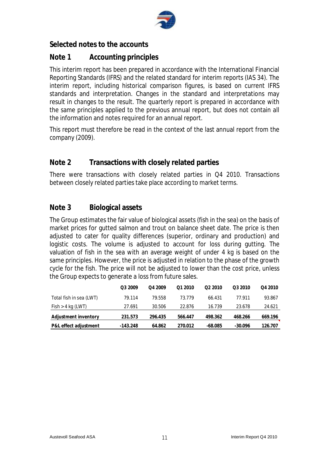

# **Selected notes to the accounts**

# **Note 1 Accounting principles**

This interim report has been prepared in accordance with the International Financial Reporting Standards (IFRS) and the related standard for interim reports (IAS 34). The interim report, including historical comparison figures, is based on current IFRS standards and interpretation. Changes in the standard and interpretations may result in changes to the result. The quarterly report is prepared in accordance with the same principles applied to the previous annual report, but does not contain all the information and notes required for an annual report.

This report must therefore be read in the context of the last annual report from the company (2009).

# **Note 2 Transactions with closely related parties**

There were transactions with closely related parties in Q4 2010. Transactions between closely related parties take place according to market terms.

# **Note 3 Biological assets**

The Group estimates the fair value of biological assets (fish in the sea) on the basis of market prices for gutted salmon and trout on balance sheet date. The price is then adjusted to cater for quality differences (superior, ordinary and production) and logistic costs. The volume is adjusted to account for loss during gutting. The valuation of fish in the sea with an average weight of under 4 kg is based on the same principles. However, the price is adjusted in relation to the phase of the growth cycle for the fish. The price will not be adjusted to lower than the cost price, unless the Group expects to generate a loss from future sales.

|                         | Q3 2009    | O <sub>4</sub> 2009 | Q1 2010 | O <sub>2</sub> 2010 | Q3 2010   | Q4 2010 |
|-------------------------|------------|---------------------|---------|---------------------|-----------|---------|
| Total fish in sea (LWT) | 79.114     | 79.558              | 73.779  | 66.431              | 77 911    | 93.867  |
| Fish > 4 kg (LWT)       | 27.691     | 30.506              | 22.876  | 16.739              | 23.678    | 24.621  |
| Adjustment inventory    | 231.573    | 296.435             | 566.447 | 498.362             | 468.266   | 669.196 |
| P&L effect adjustment   | $-143.248$ | 64.862              | 270.012 | $-68.085$           | $-30.096$ | 126.707 |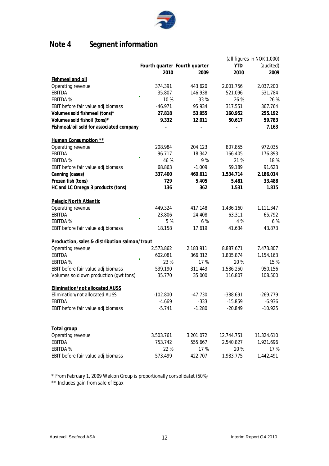

# **Note 4 Segment information**

|                                               |            |                               |            | (all figures in NOK 1.000) |
|-----------------------------------------------|------------|-------------------------------|------------|----------------------------|
|                                               |            | Fourth quarter Fourth quarter | <b>YTD</b> | (audited)                  |
|                                               | 2010       | 2009                          | 2010       | 2009                       |
| <b>Fishmeal and oil</b>                       |            |                               |            |                            |
| Operating revenue                             | 374.391    | 443.620                       | 2.001.756  | 2.037.200                  |
| <b>EBITDA</b>                                 | 35.807     | 146.938                       | 521.096    | 531.784                    |
| <b>EBITDA%</b>                                | 10%        | 33 %                          | 26 %       | 26 %                       |
| EBIT before fair value adj.biomass            | $-46.971$  | 95.934                        | 317.551    | 367.764                    |
| Volumes sold fishmeal (tons)*                 | 27.818     | 53.955                        | 160.952    | 255.192                    |
| Volumes sold fishoil (tons)*                  | 9.332      | 12.011                        | 50.617     | 59.783                     |
| Fishmeal/oil sold for associated company      |            |                               |            | 7.163                      |
| Human Consumption **                          |            |                               |            |                            |
| Operating revenue                             | 208.984    | 204.123                       | 807.855    | 972.035                    |
| <b>EBITDA</b>                                 | 96.717     | 18.342                        | 166.405    | 176.893                    |
| <b>EBITDA%</b>                                | 46 %       | 9%                            | 21 %       | 18%                        |
| EBIT before fair value adj.biomass            | 68.863     | $-1.009$                      | 59.189     | 91.623                     |
| Canning (cases)                               | 337.400    | 460.611                       | 1.534.714  | 2.186.014                  |
| Frozen fish (tons)                            | 729        | 5.405                         | 5.481      | 33.488                     |
| HC and LC Omega 3 products (tons)             | 136        | 362                           | 1.531      | 1.815                      |
| Pelagic North Atlantic                        |            |                               |            |                            |
| Operating revenue                             | 449.324    | 417.148                       | 1.436.160  | 1.111.347                  |
| <b>EBITDA</b>                                 | 23.806     | 24.408                        | 63.311     | 65.792                     |
| <b>EBITDA %</b>                               | 5%         | 6 %                           | 4 %        | 6 %                        |
| EBIT before fair value adj.biomass            | 18.158     | 17.619                        | 41.634     | 43.873                     |
| Production, sales & distribution salmon/trout |            |                               |            |                            |
| Operating revenue                             | 2.573.862  | 2.183.911                     | 8.887.671  | 7.473.807                  |
| <b>EBITDA</b>                                 | 602.081    | 366.312                       | 1.805.874  | 1.154.163                  |
| <b>EBITDA%</b>                                | 23 %       | 17 %                          | 20%        | 15 %                       |
| EBIT before fair value adj.biomass            | 539.190    | 311.443                       | 1.586.250  | 950.156                    |
| Volumes sold own production (gwt tons)        | 35.770     | 35.000                        | 116.807    | 108.500                    |
| Elimination/not allocated AUSS                |            |                               |            |                            |
| Elimination/not allocated AUSS                | $-102.800$ | $-47.730$                     | $-388.691$ | $-269.779$                 |
| EBITDA                                        | $-4.669$   | $-333$                        | $-15.859$  | $-6.936$                   |
| EBIT before fair value adj.biomass            | $-5.741$   | $-1.280$                      | $-20.849$  | $-10.925$                  |
|                                               |            |                               |            |                            |
| <b>Total group</b>                            |            |                               |            |                            |
| Operating revenue                             | 3.503.761  | 3.201.072                     | 12.744.751 | 11.324.610                 |
| <b>EBITDA</b>                                 | 753.742    | 555.667                       | 2.540.827  | 1.921.696                  |
| <b>EBITDA%</b>                                | 22 %       | 17%                           | 20%        | 17 %                       |
| EBIT before fair value adj.biomass            | 573.499    | 422.707                       | 1.983.775  | 1.442.491                  |

\* From February 1, 2009 Welcon Group is proportionally consolidatet (50%)

\*\* Includes gain from sale of Epax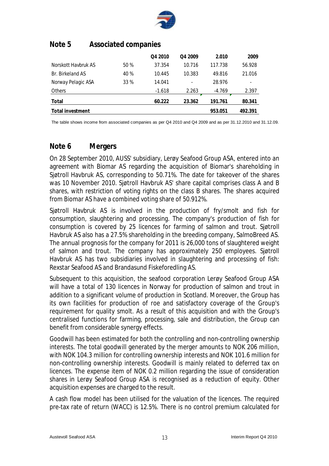

# **Note 5 Associated companies**

|                     |      | Q4 2010  | Q4 2009 | 2.010    | 2009    |
|---------------------|------|----------|---------|----------|---------|
| Norskott Haybruk AS | 50 % | 37.354   | 10.716  | 117.738  | 56.928  |
| Br. Birkeland AS    | 40 % | 10.445   | 10.383  | 49.816   | 21.016  |
| Norway Pelagic ASA  | 33 % | 14.041   | ٠       | 28.976   | ۰       |
| <b>Others</b>       |      | $-1.618$ | 2.263   | $-4.769$ | 2.397   |
| Total               |      | 60.222   | 23.362  | 191.761  | 80.341  |
| Total investment    |      |          |         | 953.051  | 492.391 |

The table shows income from associated companies as per Q4 2010 and Q4 2009 and as per 31.12.2010 and 31.12.09.

# **Note 6 Mergers**

On 28 September 2010, AUSS' subsidiary, Lerøy Seafood Group ASA, entered into an agreement with Biomar AS regarding the acquisition of Biomar's shareholding in Sjøtroll Havbruk AS, corresponding to 50.71%. The date for takeover of the shares was 10 November 2010. Sjøtroll Havbruk AS' share capital comprises class A and B shares, with restriction of voting rights on the class B shares. The shares acquired from Biomar AS have a combined voting share of 50.912%.

Sjøtroll Havbruk AS is involved in the production of fry/smolt and fish for consumption, slaughtering and processing. The company's production of fish for consumption is covered by 25 licences for farming of salmon and trout. Sjøtroll Havbruk AS also has a 27.5% shareholding in the breeding company, SalmoBreed AS. The annual prognosis for the company for 2011 is 26,000 tons of slaughtered weight of salmon and trout. The company has approximately 250 employees. Sjøtroll Havbruk AS has two subsidiaries involved in slaughtering and processing of fish: Rexstar Seafood AS and Brandasund Fiskeforedling AS.

Subsequent to this acquisition, the seafood corporation Lerøy Seafood Group ASA will have a total of 130 licences in Norway for production of salmon and trout in addition to a significant volume of production in Scotland. Moreover, the Group has its own facilities for production of roe and satisfactory coverage of the Group's requirement for quality smolt. As a result of this acquisition and with the Group's centralised functions for farming, processing, sale and distribution, the Group can benefit from considerable synergy effects.

Goodwill has been estimated for both the controlling and non-controlling ownership interests. The total goodwill generated by the merger amounts to NOK 206 million, with NOK 104.3 million for controlling ownership interests and NOK 101.6 million for non-controlling ownership interests. Goodwill is mainly related to deferred tax on licences. The expense item of NOK 0.2 million regarding the issue of consideration shares in Lerøy Seafood Group ASA is recognised as a reduction of equity. Other acquisition expenses are charged to the result.

A cash flow model has been utilised for the valuation of the licences. The required pre-tax rate of return (WACC) is 12.5%. There is no control premium calculated for